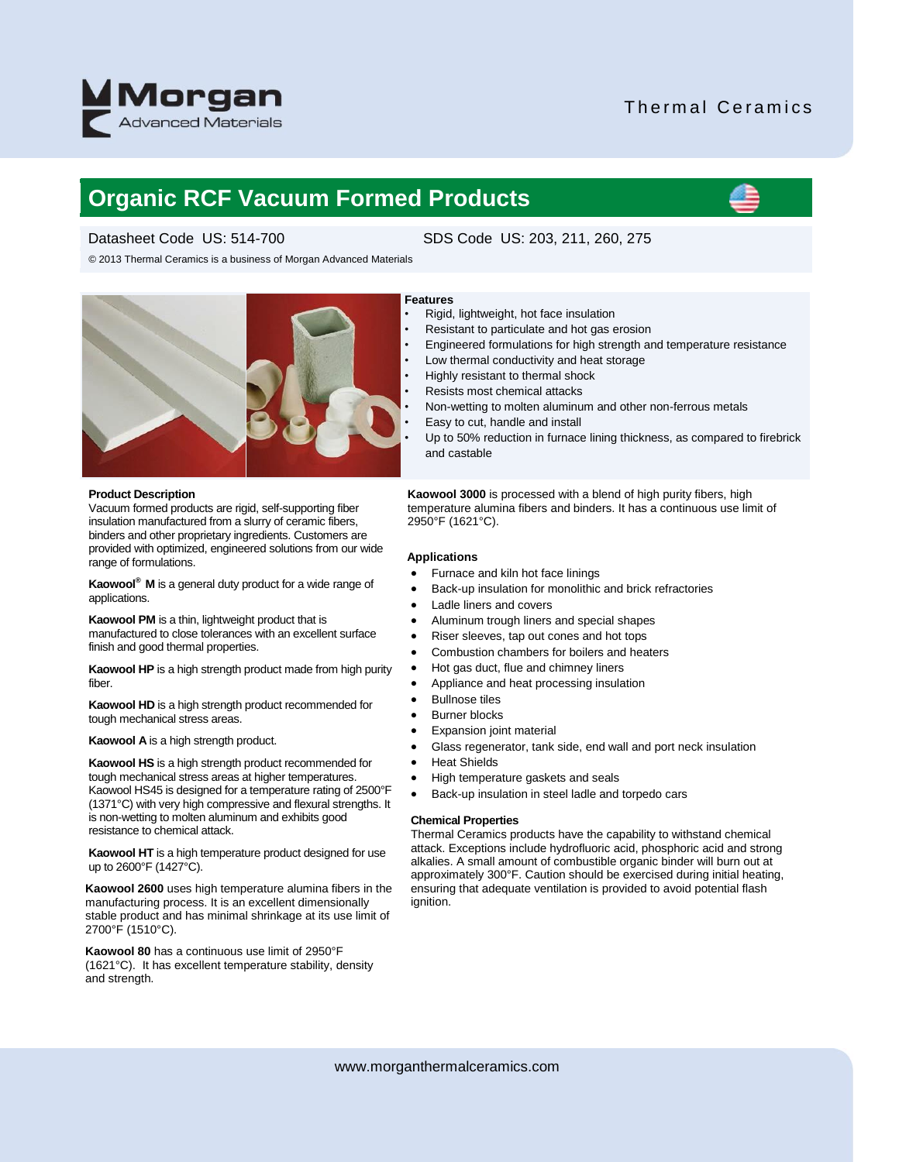

# Thermal Ceramics

# **Organic RCF Vacuum Formed Products**

© 2013 Thermal Ceramics is a business of Morgan Advanced Materials



### **Product Description**

Vacuum formed products are rigid, self-supporting fiber insulation manufactured from a slurry of ceramic fibers, binders and other proprietary ingredients. Customers are provided with optimized, engineered solutions from our wide range of formulations.

**Kaowool® M** is a general duty product for a wide range of applications.

**Kaowool PM** is a thin, lightweight product that is manufactured to close tolerances with an excellent surface finish and good thermal properties.

**Kaowool HP** is a high strength product made from high purity fiber.

**Kaowool HD** is a high strength product recommended for tough mechanical stress areas.

**Kaowool A** is a high strength product.

**Kaowool HS** is a high strength product recommended for tough mechanical stress areas at higher temperatures. Kaowool HS45 is designed for a temperature rating of 2500°F (1371°C) with very high compressive and flexural strengths. It is non-wetting to molten aluminum and exhibits good resistance to chemical attack.

**Kaowool HT** is a high temperature product designed for use up to 2600°F (1427°C).

**Kaowool 2600** uses high temperature alumina fibers in the manufacturing process. It is an excellent dimensionally stable product and has minimal shrinkage at its use limit of 2700°F (1510°C).

**Kaowool 80** has a continuous use limit of 2950°F (1621°C). It has excellent temperature stability, density and strength.

# Datasheet Code US: 514-700 SDS Code US: 203, 211, 260, 275

## **Features**

- Rigid, lightweight, hot face insulation
- Resistant to particulate and hot gas erosion
- Engineered formulations for high strength and temperature resistance
- Low thermal conductivity and heat storage
- Highly resistant to thermal shock
- Resists most chemical attacks
- Non-wetting to molten aluminum and other non-ferrous metals
- Easy to cut, handle and install
- Up to 50% reduction in furnace lining thickness, as compared to firebrick and castable

**Kaowool 3000** is processed with a blend of high purity fibers, high temperature alumina fibers and binders. It has a continuous use limit of 2950°F (1621°C).

## **Applications**

- Furnace and kiln hot face linings
- Back-up insulation for monolithic and brick refractories
- Ladle liners and covers
- Aluminum trough liners and special shapes
- Riser sleeves, tap out cones and hot tops
- Combustion chambers for boilers and heaters
- Hot gas duct, flue and chimney liners
- Appliance and heat processing insulation
- Bullnose tiles
- Burner blocks
- Expansion joint material
- Glass regenerator, tank side, end wall and port neck insulation
- Heat Shields
- High temperature gaskets and seals
- Back-up insulation in steel ladle and torpedo cars

#### **Chemical Properties**

Thermal Ceramics products have the capability to withstand chemical attack. Exceptions include hydrofluoric acid, phosphoric acid and strong alkalies. A small amount of combustible organic binder will burn out at approximately 300°F. Caution should be exercised during initial heating, ensuring that adequate ventilation is provided to avoid potential flash ignition.